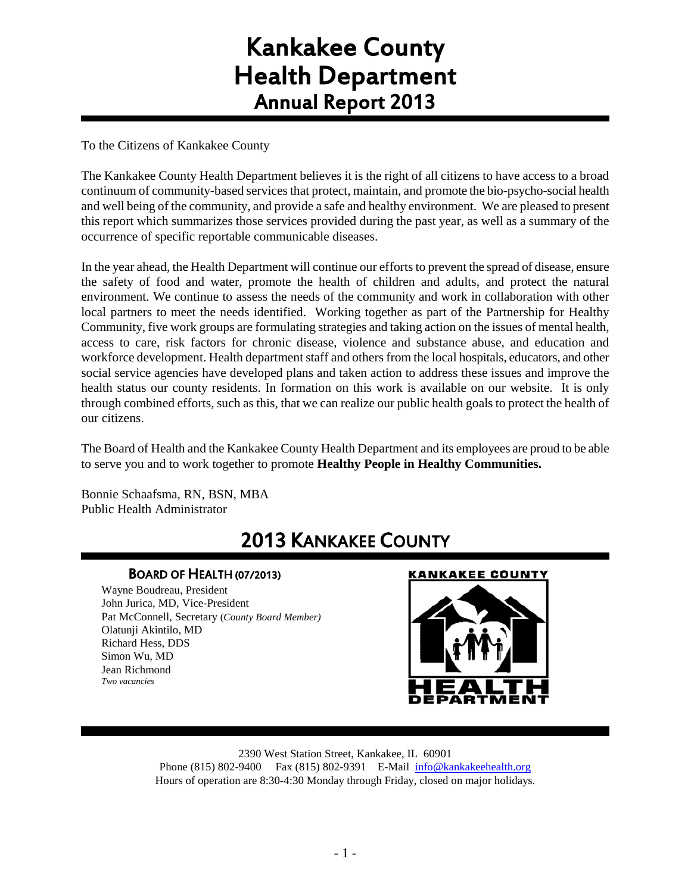# Kankakee County Health Department Annual Report 2013

To the Citizens of Kankakee County

The Kankakee County Health Department believes it is the right of all citizens to have access to a broad continuum of community-based services that protect, maintain, and promote the bio-psycho-social health and well being of the community, and provide a safe and healthy environment. We are pleased to present this report which summarizes those services provided during the past year, as well as a summary of the occurrence of specific reportable communicable diseases.

In the year ahead, the Health Department will continue our efforts to prevent the spread of disease, ensure the safety of food and water, promote the health of children and adults, and protect the natural environment. We continue to assess the needs of the community and work in collaboration with other local partners to meet the needs identified. Working together as part of the Partnership for Healthy Community, five work groups are formulating strategies and taking action on the issues of mental health, access to care, risk factors for chronic disease, violence and substance abuse, and education and workforce development. Health department staff and others from the local hospitals, educators, and other social service agencies have developed plans and taken action to address these issues and improve the health status our county residents. In formation on this work is available on our website. It is only through combined efforts, such as this, that we can realize our public health goals to protect the health of our citizens.

The Board of Health and the Kankakee County Health Department and its employees are proud to be able to serve you and to work together to promote **Healthy People in Healthy Communities.**

Bonnie Schaafsma, RN, BSN, MBA Public Health Administrator

# 2013 KANKAKEE COUNTY

## BOARD OF HEALTH (07/2013)

Wayne Boudreau, President John Jurica, MD, Vice-President Pat McConnell, Secretary (*County Board Member)* Olatunji Akintilo, MD Richard Hess, DDS Simon Wu, MD Jean Richmond *Two vacancies*

## **KANKAKEE COUNTY**



2390 West Station Street, Kankakee, IL 60901 Phone (815) 802-9400 Fax (815) 802-9391 E-Mail [info@kankakeehealth.org](mailto:pkankake@idphnet.com) Hours of operation are 8:30-4:30 Monday through Friday, closed on major holidays.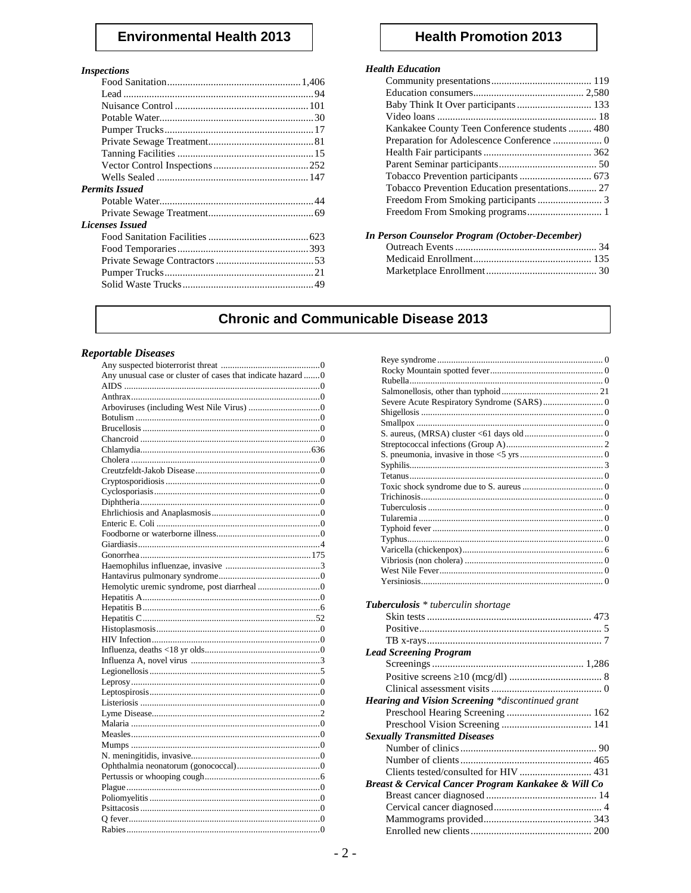# **Environmental Health 2013**

# *Inspections*<br>Food Sa

| 111566110115           |  |
|------------------------|--|
|                        |  |
|                        |  |
|                        |  |
|                        |  |
|                        |  |
|                        |  |
|                        |  |
|                        |  |
|                        |  |
| <b>Permits Issued</b>  |  |
|                        |  |
|                        |  |
| <b>Licenses Issued</b> |  |
|                        |  |
|                        |  |
|                        |  |
|                        |  |
|                        |  |
|                        |  |

# **Health Promotion 2013**

#### **Health Education**

| Baby Think It Over participants  133         |  |
|----------------------------------------------|--|
|                                              |  |
| Kankakee County Teen Conference students 480 |  |
|                                              |  |
|                                              |  |
|                                              |  |
|                                              |  |
|                                              |  |
|                                              |  |
| Freedom From Smoking programs 1              |  |
|                                              |  |

| In Person Counselor Program (October-December) |  |
|------------------------------------------------|--|
|                                                |  |
|                                                |  |
|                                                |  |

# **Chronic and Communicable Disease 2013**

#### **Reportable Diseases**

| Any unusual case or cluster of cases that indicate hazard 0 |
|-------------------------------------------------------------|
|                                                             |
|                                                             |
|                                                             |
|                                                             |
|                                                             |
|                                                             |
|                                                             |
|                                                             |
|                                                             |
|                                                             |
|                                                             |
|                                                             |
|                                                             |
|                                                             |
|                                                             |
|                                                             |
|                                                             |
|                                                             |
|                                                             |
|                                                             |
|                                                             |
|                                                             |
|                                                             |
|                                                             |
|                                                             |
|                                                             |
|                                                             |
|                                                             |
|                                                             |
|                                                             |
|                                                             |
|                                                             |
|                                                             |
|                                                             |
|                                                             |
|                                                             |
|                                                             |
|                                                             |
|                                                             |
|                                                             |
|                                                             |
|                                                             |
|                                                             |
|                                                             |

| <b>Tuberculosis</b> * tuberculin shortage           |  |
|-----------------------------------------------------|--|
|                                                     |  |
|                                                     |  |
|                                                     |  |
| <b>Lead Screening Program</b>                       |  |
|                                                     |  |
|                                                     |  |
|                                                     |  |
|                                                     |  |
| Hearing and Vision Screening *discontinued grant    |  |
|                                                     |  |
|                                                     |  |
| <b>Sexually Transmitted Diseases</b>                |  |
|                                                     |  |
|                                                     |  |
| Clients tested/consulted for HIV  431               |  |
| Breast & Cervical Cancer Program Kankakee & Will Co |  |
|                                                     |  |
|                                                     |  |
|                                                     |  |
|                                                     |  |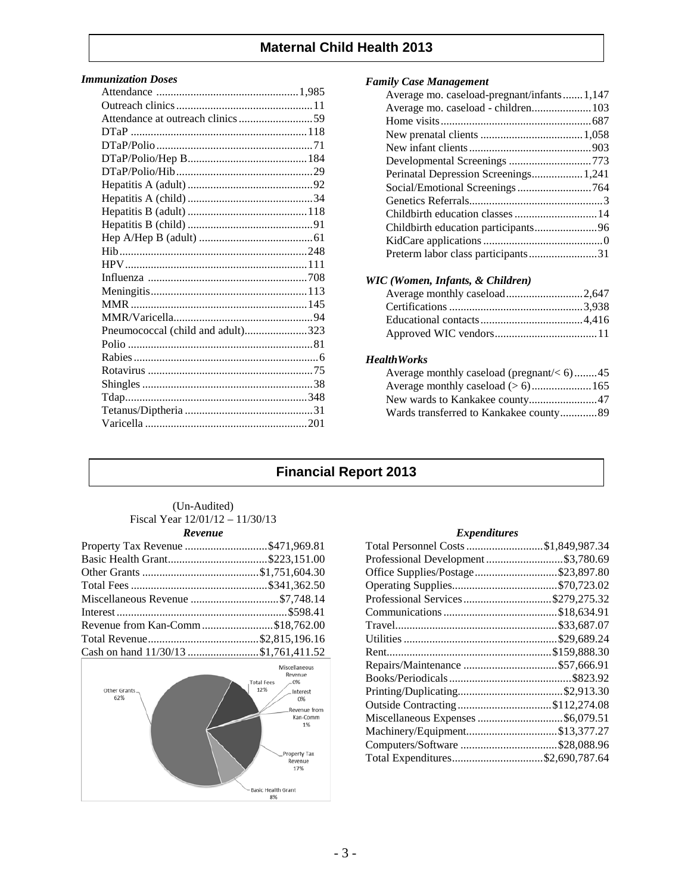## **Maternal Child Health 2013**

#### *Immunization Doses*

| Pneumococcal (child and adult)323 |  |
|-----------------------------------|--|
|                                   |  |
|                                   |  |
|                                   |  |
|                                   |  |
|                                   |  |
|                                   |  |
|                                   |  |
|                                   |  |

#### *Family Case Management*

| Average mo. caseload-pregnant/infants1,147 |  |
|--------------------------------------------|--|
| Average mo. caseload - children 103        |  |
|                                            |  |
|                                            |  |
|                                            |  |
|                                            |  |
| Perinatal Depression Screenings 1,241      |  |
| Social/Emotional Screenings764             |  |
|                                            |  |
|                                            |  |
|                                            |  |
|                                            |  |
|                                            |  |
|                                            |  |

#### *WIC (Women, Infants, & Children)*

| Average monthly caseload2,647 |  |
|-------------------------------|--|
|                               |  |
|                               |  |
|                               |  |

#### *HealthWorks*

| Average monthly caseload (pregnant/ $<$ 6)45 |  |
|----------------------------------------------|--|
|                                              |  |
| New wards to Kankakee county47               |  |
| Wards transferred to Kankakee county89       |  |

# **Financial Report 2013**

#### (Un-Audited) Fiscal Year 12/01/12 – 11/30/13 *Revenue*

| Property Tax Revenue \$471,969.81    |  |
|--------------------------------------|--|
|                                      |  |
|                                      |  |
|                                      |  |
| Miscellaneous Revenue \$7,748.14     |  |
|                                      |  |
| Revenue from Kan-Comm\$18,762.00     |  |
|                                      |  |
| Cash on hand 11/30/13 \$1,761,411.52 |  |



#### *Expenditures*

| Total Personnel Costs \$1,849,987.34 |
|--------------------------------------|
| Professional Development \$3,780.69  |
| Office Supplies/Postage\$23,897.80   |
|                                      |
| Professional Services\$279,275.32    |
|                                      |
|                                      |
|                                      |
|                                      |
| Repairs/Maintenance \$57,666.91      |
|                                      |
|                                      |
| Outside Contracting\$112,274.08      |
| Miscellaneous Expenses \$6,079.51    |
| Machinery/Equipment\$13,377.27       |
|                                      |
| Total Expenditures\$2,690,787.64     |
|                                      |